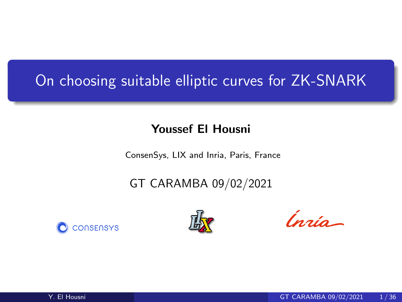# On choosing suitable elliptic curves for ZK-SNARK

#### Youssef El Housni

ConsenSys, LIX and Inria, Paris, France

## GT CARAMBA 09/02/2021





Ingia-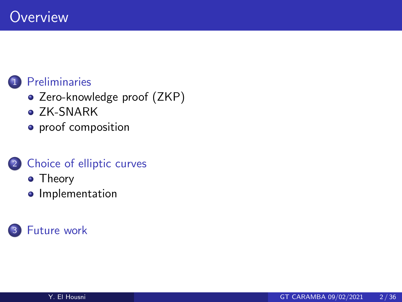#### **[Preliminaries](#page-2-0)**

- [Zero-knowledge proof \(ZKP\)](#page-2-0)
- [ZK-SNARK](#page-15-0)
- [proof composition](#page-24-0)

### 2 [Choice of elliptic curves](#page-29-0)

- **•** [Theory](#page-36-0)
- **·** [Implementation](#page-37-0)

## **[Future work](#page-39-0)**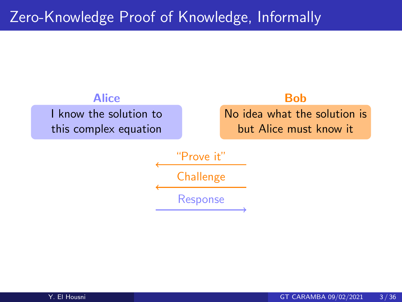# <span id="page-2-0"></span>Zero-Knowledge Proof of Knowledge, Informally

I know the solution to this complex equation



"Prove it" **Challenge** Response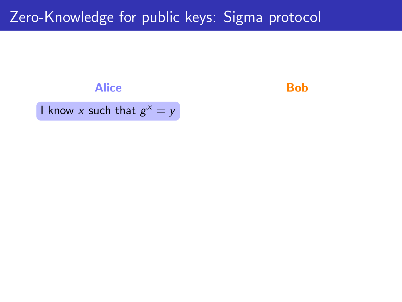#### Alice **Bob**

I know x such that  $g^x = y$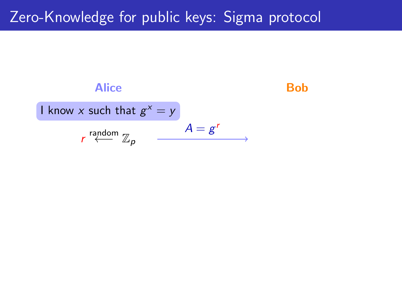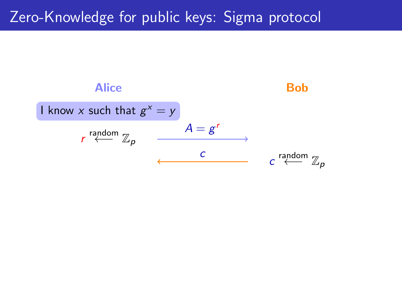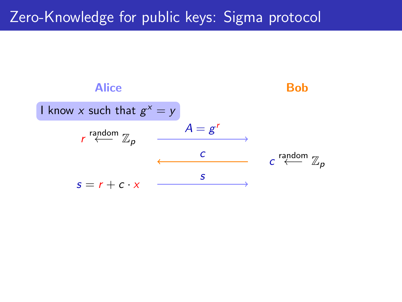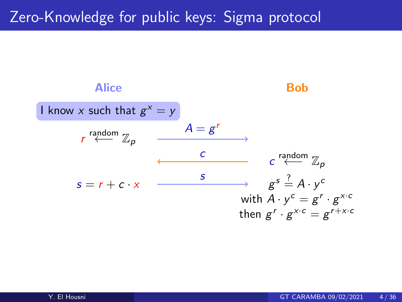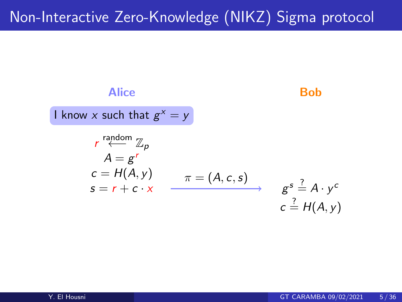# Non-Interactive Zero-Knowledge (NIKZ) Sigma protocol

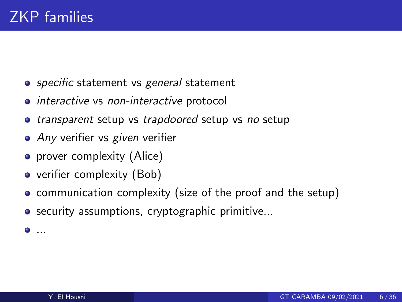- *specific* statement vs general statement
- interactive vs non-interactive protocol
- transparent setup vs trapdoored setup vs no setup
- Any verifier vs given verifier
- prover complexity (Alice)
- verifier complexity (Bob)
- **communication complexity (size of the proof and the setup)**
- **•** security assumptions, cryptographic primitive...

 $\bullet$  ...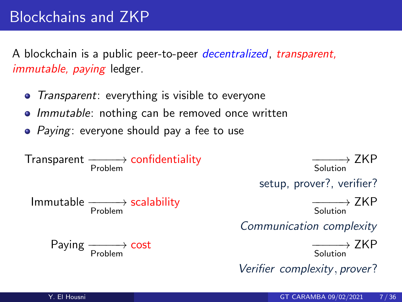A blockchain is a public peer-to-peer decentralized, transparent, immutable, paying ledger.

- Transparent: everything is visible to everyone
- Immutable: nothing can be removed once written
- *Paying*: everyone should pay a fee to use

Transparent –<del>−−−→</del> confidentiality –––––→ Problem

Immutable −−−−−→ scalability −−−−−→ Problem

Paying ––––→<br>Problem

Solution  $\longrightarrow$  7KP

setup, prover?, verifier?

Solution  $\longrightarrow$  7KP

Communication complexity

cost <del>−−</del>→ Solution  $\longrightarrow$  ZKP

Verifier complexity , prover?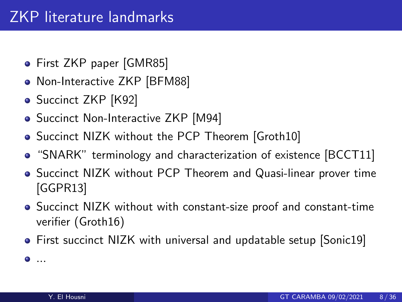- First ZKP paper [GMR85]
- Non-Interactive ZKP [BFM88]
- Succinct ZKP [K92]
- Succinct Non-Interactive ZKP [M94]
- Succinct NIZK without the PCP Theorem [Groth10]
- "SNARK" terminology and characterization of existence [BCCT11]
- Succinct NIZK without PCP Theorem and Quasi-linear prover time [GGPR13]
- Succinct NIZK without with constant-size proof and constant-time verifier (Groth16)
- First succinct NIZK with universal and updatable setup [Sonic19]

...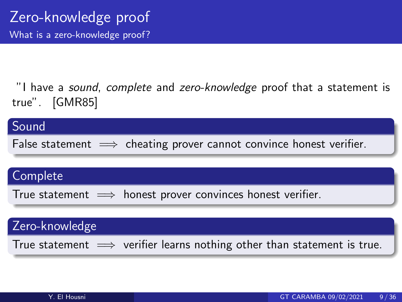"I have a *sound, complete* and zero-knowledge proof that a statement is true". [GMR85]

#### Sound

False statement  $\implies$  cheating prover cannot convince honest verifier.

#### Complete

True statement  $\implies$  honest prover convinces honest verifier.

#### Zero-knowledge

True statement  $\implies$  verifier learns nothing other than statement is true.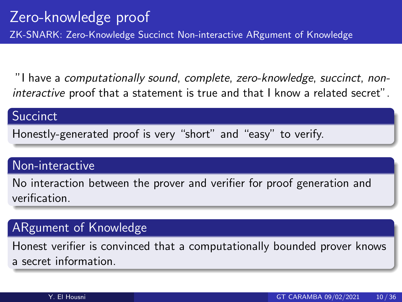"I have a computationally sound, complete, zero-knowledge, succinct, noninteractive proof that a statement is true and that I know a related secret".

#### **Succinct**

Honestly-generated proof is very "short" and "easy" to verify.

#### Non-interactive

No interaction between the prover and verifier for proof generation and verification.

#### ARgument of Knowledge

Honest verifier is convinced that a computationally bounded prover knows a secret information.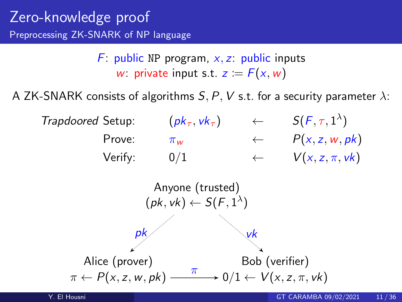## Zero-knowledge proof Preprocessing ZK-SNARK of NP language

F: public NP program,  $x, z$ : public inputs w: private input s.t.  $z = F(x, w)$ 

A ZK-SNARK consists of algorithms  $S, P, V$  s.t. for a security parameter  $\lambda$ :

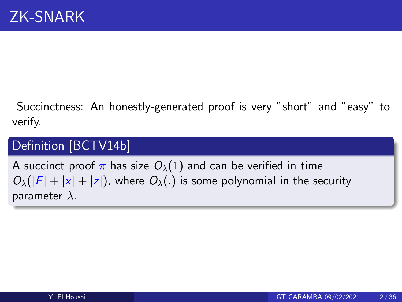<span id="page-15-0"></span>Succinctness: An honestly-generated proof is very "short" and "easy" to verify.

## Definition [\[BCTV14b\]](#page-41-0)

A succinct proof  $\pi$  has size  $O_{\lambda}(1)$  and can be verified in time  $O_{\lambda}(|F| + |x| + |z|)$ , where  $O_{\lambda}$ (.) is some polynomial in the security parameter  $\lambda$ .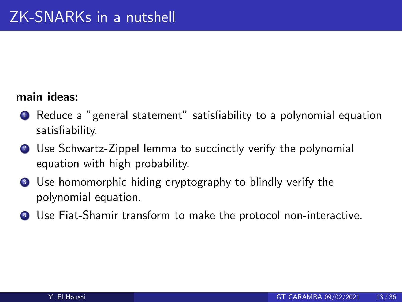#### main ideas:

- **1** Reduce a "general statement" satisfiability to a polynomial equation satisfiability.
- <sup>2</sup> Use Schwartz-Zippel lemma to succinctly verify the polynomial equation with high probability.
- <sup>3</sup> Use homomorphic hiding cryptography to blindly verify the polynomial equation.
- <sup>4</sup> Use Fiat-Shamir transform to make the protocol non-interactive.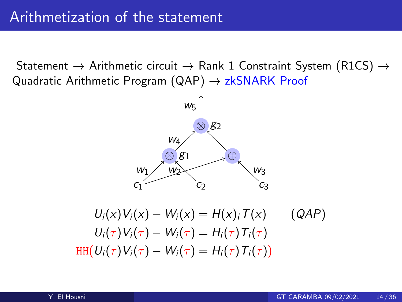Statement  $\rightarrow$  Arithmetic circuit  $\rightarrow$  Rank 1 Constraint System (R1CS)  $\rightarrow$ Quadratic Arithmetic Program  $(QAP) \rightarrow zkSNARK$  Proof



$$
U_i(x)V_i(x) - W_i(x) = H(x)_i T(x) \qquad (QAP)
$$
  
\n
$$
U_i(\tau)V_i(\tau) - W_i(\tau) = H_i(\tau) T_i(\tau)
$$
  
\n
$$
HH(U_i(\tau)V_i(\tau) - W_i(\tau) = H_i(\tau) T_i(\tau))
$$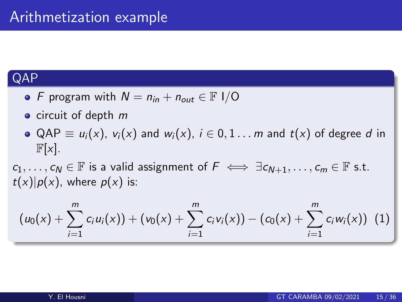#### **QAP**

- F program with  $N = n_{in} + n_{out} \in \mathbb{F}$  I/O
- $\bullet$  circuit of depth  $m$
- QAP  $\equiv u_i(x)$ ,  $v_i(x)$  and  $w_i(x)$ ,  $i \in 0, 1...$  m and  $t(x)$  of degree d in  $\mathbb{F}[x]$ .

 $c_1, \ldots, c_N \in \mathbb{F}$  is a valid assignment of  $F \iff \exists c_{N+1}, \ldots, c_m \in \mathbb{F}$  s.t.  $t(x)|p(x)$ , where  $p(x)$  is:

$$
(u_0(x) + \sum_{i=1}^m c_i u_i(x)) + (v_0(x) + \sum_{i=1}^m c_i v_i(x)) - (c_0(x) + \sum_{i=1}^m c_i w_i(x)) \tag{1}
$$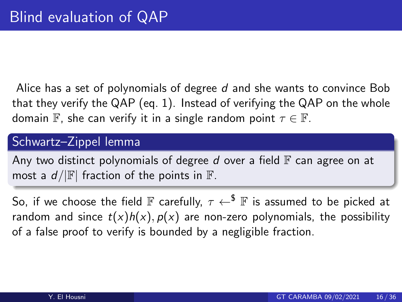Alice has a set of polynomials of degree  $d$  and she wants to convince Bob that they verify the QAP (eq. 1). Instead of verifying the QAP on the whole domain F, she can verify it in a single random point  $\tau \in \mathbb{F}$ .

#### Schwartz–Zippel lemma

Any two distinct polynomials of degree d over a field  $\mathbb F$  can agree on at most a  $d/|\mathbb{F}|$  fraction of the points in  $\mathbb{F}$ .

So, if we choose the field F carefully,  $\tau \leftarrow^{\$}$  F is assumed to be picked at random and since  $t(x)h(x), p(x)$  are non-zero polynomials, the possibility of a false proof to verify is bounded by a negligible fraction.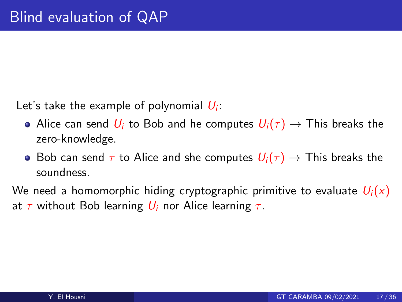Let's take the example of polynomial  $\vert U_i\vert$ :

- Alice can send  $U_i$  to Bob and he computes  $U_i(\tau) \rightarrow$  This breaks the zero-knowledge.
- Bob can send  $\tau$  to Alice and she computes  $U_i(\tau) \to$  This breaks the soundness.

We need a homomorphic hiding cryptographic primitive to evaluate  $U_i(x)$ at  $\tau$  without Bob learning  $U_i$  nor Alice learning  $\tau$ .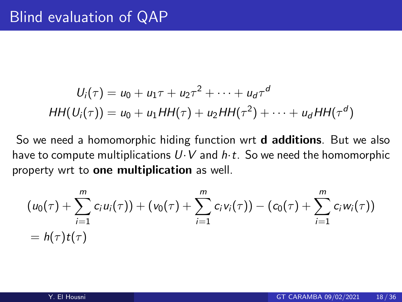$$
U_i(\tau) = u_0 + u_1\tau + u_2\tau^2 + \cdots + u_d\tau^d
$$
  

$$
HH(U_i(\tau)) = u_0 + u_1HH(\tau) + u_2HH(\tau^2) + \cdots + u_dHH(\tau^d)
$$

So we need a homomorphic hiding function wrt **d additions**. But we also have to compute multiplications  $U \cdot V$  and  $h \cdot t$ . So we need the homomorphic property wrt to **one multiplication** as well.

$$
(u_0(\tau) + \sum_{i=1}^m c_i u_i(\tau)) + (v_0(\tau) + \sum_{i=1}^m c_i v_i(\tau)) - (c_0(\tau) + \sum_{i=1}^m c_i w_i(\tau))
$$
  
=  $h(\tau) t(\tau)$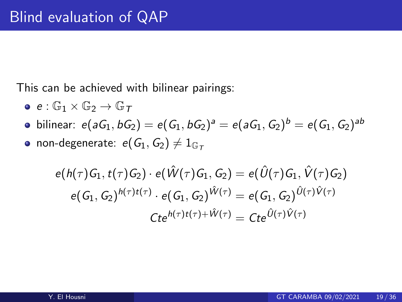This can be achieved with bilinear pairings:

- $e: \mathbb{G}_1 \times \mathbb{G}_2 \rightarrow \mathbb{G}_T$
- bilinear:  $e(\textit{a} G_1, \textit{b} G_2) = e(G_1, \textit{b} G_2)^{\textit{a}} = e(\textit{a} G_1, \textit{G}_2)^{\textit{b}} = e(G_1, \textit{G}_2)^{\textit{ab}}$
- non-degenerate:  $e(G_1, G_2) \neq 1_{\mathbb{G}_{\tau}}$

$$
e(h(\tau)G_1, t(\tau)G_2) \cdot e(\hat{W}(\tau)G_1, G_2) = e(\hat{U}(\tau)G_1, \hat{V}(\tau)G_2)
$$
  

$$
e(G_1, G_2)^{h(\tau)t(\tau)} \cdot e(G_1, G_2)^{\hat{W}(\tau)} = e(G_1, G_2)^{\hat{U}(\tau)\hat{V}(\tau)}
$$
  

$$
Cte^{h(\tau)t(\tau) + \hat{W}(\tau)} = Cte^{\hat{U}(\tau)\hat{V}(\tau)}
$$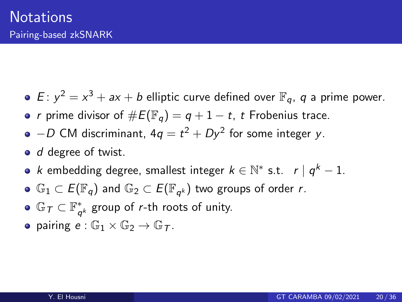- $E: y^2 = x^3 + ax + b$  elliptic curve defined over  $\mathbb{F}_q$ , q a prime power.
- r prime divisor of  $\#E(\mathbb{F}_q) = q + 1 t$ , t Frobenius trace.
- $-D$  CM discriminant, 4 $q=t^2+Dy^2$  for some integer y.
- *d* degree of twist.
- k embedding degree, smallest integer  $k \in \mathbb{N}^*$  s.t.  $r | q^k 1$ .
- $\mathbb{G}_1\subset E(\mathbb{F}_q)$  and  $\mathbb{G}_2\subset E(\mathbb{F}_{q^k})$  two groups of order  $r.$
- $\mathbb{G}_T \subset \mathbb{F}_q^*$  $_{q^{k}}^{*}$  group of *r*-th roots of unity.
- **•** pairing  $e : \mathbb{G}_1 \times \mathbb{G}_2 \to \mathbb{G}_{\tau}$ .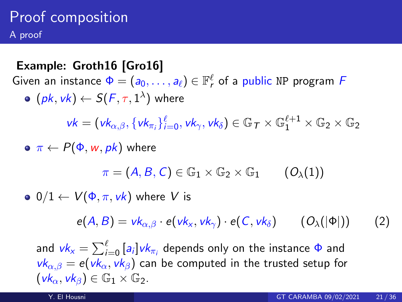## <span id="page-24-0"></span>Proof composition A proof

#### Example: Groth16 [\[Gro16\]](#page-43-0)

Given an instance  $\Phi = (a_0, \ldots, a_\ell) \in \mathbb{F}_r^\ell$  of a public NP program  $F$ 

 $(\mathsf{pk}, \mathsf{vk}) \leftarrow \mathsf{S}(\mathsf{F}, \tau, 1^\lambda)$  where

 $vk = (vk_{\alpha,\beta}, \{vk_{\pi_i}\}_{i=0}^{\ell}, vk_{\gamma}, vk_{\delta}) \in \mathbb{G}_T \times \mathbb{G}_1^{\ell+1} \times \mathbb{G}_2 \times \mathbb{G}_2$ 

• 
$$
\pi \leftarrow P(\Phi, w, pk)
$$
 where

 $\pi = (A, B, C) \in \mathbb{G}_1 \times \mathbb{G}_2 \times \mathbb{G}_1$  (O<sub> $\lambda$ </sub>(1))

 $\bullet$  0/1  $\leftarrow$   $V(\Phi, \pi, \nu k)$  where V is

<span id="page-24-1"></span> $e(A, B) = vk_{\alpha, \beta} \cdot e(vk_x, vk_\gamma) \cdot e(C, vk_\delta)$  (O<sub> $\lambda$ </sub>(|Φ|)) (2)

and  $\mathit{vk}_x = \sum_{i=0}^\ell \,[a_i] \mathit{vk}_{\pi_i}$  depends only on the instance  $\Phi$  and  $vk_{\alpha,\beta} = e(vk_{\alpha}, vk_{\beta})$  can be computed in the trusted setup for  $(vk_{\alpha}, vk_{\beta}) \in \mathbb{G}_1 \times \mathbb{G}_2$ .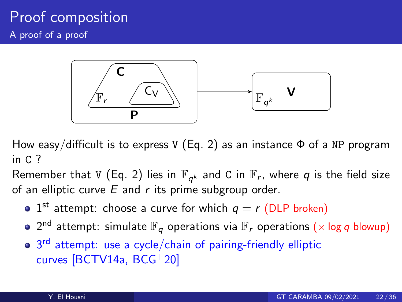## Proof composition A proof of a proof



How easy/difficult is to express V (Eq. [2\)](#page-24-1) as an instance  $\Phi$  of a NP program in C ?

Remember that V (Eq. [2\)](#page-24-1) lies in  $\mathbb{F}_{q^k}$  and C in  $\mathbb{F}_r$ , where  $q$  is the field size of an elliptic curve  $E$  and  $r$  its prime subgroup order.

- 1<sup>st</sup> attempt: choose a curve for which  $q = r$  (DLP broken)
- $2^{\mathsf{nd}}$  attempt: simulate  $\mathbb{F}_{q}$  operations via  $\mathbb{F}_{r}$  operations  $(\times$  log  $q$  blowup)
- 3<sup>rd</sup> attempt: use a cycle/chain of pairing-friendly elliptic curves [\[BCTV14a,](#page-40-0) [BCG](#page-40-1)+20]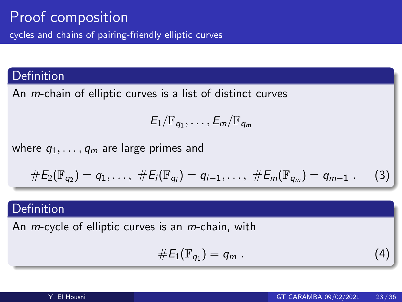#### **Definition**

An m-chain of elliptic curves is a list of distinct curves

$$
E_1/\mathbb{F}_{q_1},\ldots,E_m/\mathbb{F}_{q_m}
$$

where  $q_1, \ldots, q_m$  are large primes and

#E2(Fq<sup>2</sup> ) = q1, . . . , #Ei(Fq<sup>i</sup> ) = qi−1, . . . , #Em(Fq<sup>m</sup> ) = qm−<sup>1</sup> . (3)

### Definition

An *m*-cycle of elliptic curves is an *m*-chain, with

$$
\#E_1(\mathbb{F}_{q_1})=q_m.
$$
 (4)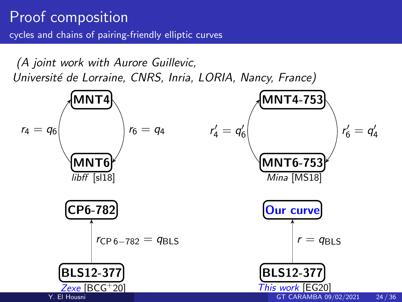(A joint work with Aurore Guillevic, Université de Lorraine, CNRS, Inria, LORIA, Nancy, France)

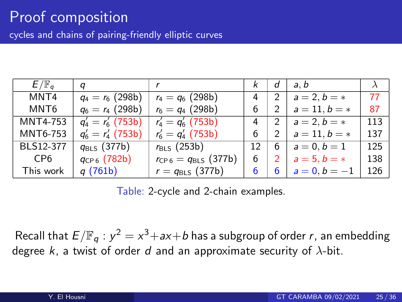#### Proof composition cycles and chains of pairing-friendly elliptic curves

| $E/\mathbb{F}_q$ | q                       |                             |    | d             | a.b             |     |
|------------------|-------------------------|-----------------------------|----|---------------|-----------------|-----|
| MNT4             | $q_4 = r_6$ (298b)      | $r_4 = q_6$ (298b)          | 4  | $\mathcal{P}$ | $a = 2, b = *$  | 77  |
| MNT6             | $q_6 = r_4$ (298b)      | $r_6 = q_4 (298b)$          | 6  |               | $a = 11, b = *$ | 87  |
| MNT4-753         | $q'_4 = r'_6$ (753b)    | $r'_4 = q'_6$ (753b)        | 4  | 2             | $a = 2, b = *$  | 113 |
| MNT6-753         | $q'_6 = r'_4$ (753b)    | $r'_6 = q'_4$ (753b)        | 6  |               | $a = 11, b = *$ | 137 |
| BLS12-377        | $q_{\text{BLS}}$ (377b) | $r_{BLS}$ (253b)            | 12 | 6             | $a = 0, b = 1$  | 125 |
| CP6              | $q_{CP6}$ (782b)        | $r_{CP 6} = q_{BLS}$ (377b) | 6  |               | $a = 5, b = *$  | 138 |
| This work        | q (761b)                | $r = q_{\text{BLS}}$ (377b) | 6  | 6             | $a = 0, b = -1$ | 126 |

Table: 2-cycle and 2-chain examples.

Recall that  $E/\mathbb{F}_q$  :  $y^2 = x^3 + ax + b$  has a subgroup of order r, an embedding degree k, a twist of order d and an approximate security of  $\lambda$ -bit.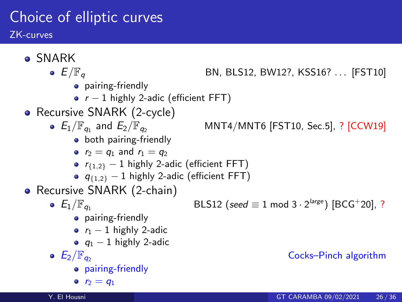# <span id="page-29-0"></span>Choice of elliptic curves

ZK-curves

SNARK •  $E/\mathbb{F}_q$  BN, BLS12, BW12?, KSS16? . . . [\[FST10\]](#page-42-0) **•** pairing-friendly •  $r - 1$  highly 2-adic (efficient FFT) • Recursive SNARK (2-cycle) •  $E_1/\mathbb{F}_q$  and  $E_2/\mathbb{F}_q$ MNT4/MNT6 [\[FST10,](#page-42-0) Sec.5], ? [\[CCW19\]](#page-41-2) • both pairing-friendly •  $r_2 = q_1$  and  $r_1 = q_2$ •  $r_{\{1,2\}}$  – 1 highly 2-adic (efficient FFT)  $q_{\{1,2\}} - 1$  highly 2-adic (efficient FFT) • Recursive SNARK (2-chain)  $E_1/\mathbb{F}_{q_1}$  BLS12 (seed  $\equiv$  1 mod 3 · 2<sup>large</sup>) [\[BCG](#page-40-1)<sup>+</sup>20], ? • pairing-friendly •  $r_1 - 1$  highly 2-adic  $q_1 - 1$  highly 2-adic •  $E_2/\mathbb{F}_{q_2}$  Cocks–Pinch algorithm pairing-friendly •  $r_2 = q_1$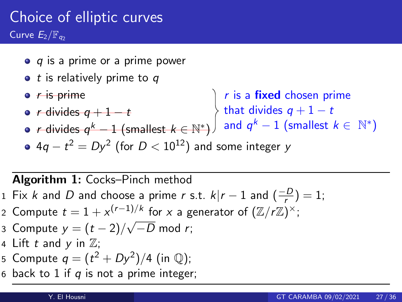# Choice of elliptic curves Curve  $E_2/F_{q_2}$

- $\bullet$  q is a prime or a prime power
- $\bullet$  t is relatively prime to q
- $r$  is prime  $r$  divides  $q+1-t$ r is a fixed chosen prime that divides  $q+1-t$
- r divides  $q^k-1$  (smallest  $k \in \mathbb{N}^*$ ) 4 $q-t^2=Dy^2$  (for  $D< 10^{12})$  and some integer  $y$ and  $q^k-1$  (smallest  $k \in \mathbb{N}^*$ )

#### Algorithm 1: Cocks–Pinch method

- 1 Fix k and D and choose a prime r s.t.  $k|r-1$  and  $\left(\frac{-D}{r}\right)=1$ ;
- 2 Compute  $t = 1 + x^{(r-1)/k}$  for x a generator of  $(\mathbb{Z}/r\mathbb{Z})^{\times}$ ;

3 Compute 
$$
y = (t-2)/\sqrt{-D}
$$
 mod r;

- 4 Lift t and y in  $\mathbb{Z}$ ;
- 5 Compute  $q=(t^2+Dy^2)/4$  (in  $\mathbb Q)$ ;
- 6 back to 1 if  $q$  is not a prime integer;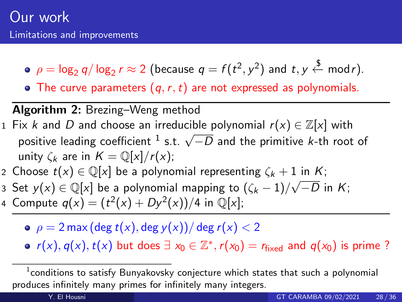- $\rho = \log_2 q / \log_2 r \approx 2$  (because  $q = f(t^2, y^2)$  and  $t, y \stackrel{\$}{\leftarrow} \text{mod} r$ ).
- The curve parameters  $(q, r, t)$  are not expressed as polynomials.

#### Algorithm 2: Brezing–Weng method

- 1 Fix k and D and choose an irreducible polynomial  $r(x) \in \mathbb{Z}[x]$  with positive leading coefficient <sup>1</sup> s.t.  $\sqrt{-D}$  and the primitive k-th root of unity  $\zeta_k$  are in  $K = \mathbb{O}[x]/r(x)$ ;
- 2 Choose  $t(x) \in \mathbb{Q}[x]$  be a polynomial representing  $\zeta_k + 1$  in K;
- 3 Set  $y(x) \in \mathbb{Q}[x]$  be a polynomial mapping to  $(\zeta_k 1)/\sqrt{2}$  $-D$  in  $K;$
- 4 Compute  $q(x) = (t^2(x) + Dy^2(x))/4$  in  $\mathbb{Q}[x]$ ;
	- $\rho = 2 \max(\deg t(x), \deg y(x))/\deg r(x) < 2$

 $r(x), q(x), t(x)$  but does  $\exists x_0 \in \mathbb{Z}^*, r(x_0) = r_{fixed}$  and  $q(x_0)$  is prime?

 $^{\rm 1}$ conditions to satisfy Bunyakovsky conjecture which states that such a polynomial produces infinitely many primes for infinitely many integers.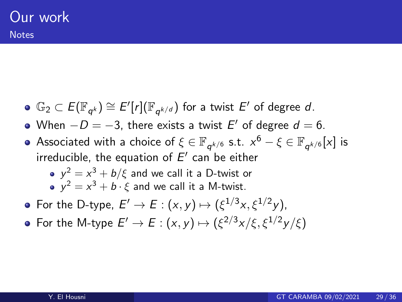- $\mathbb{G}_2\subset E(\mathbb{F}_{q^k})\cong E'[r](\mathbb{F}_{q^{k/d}})$  for a twist  $E'$  of degree  $d$ .
- When  $-D = -3$ , there exists a twist  $E'$  of degree  $d = 6$ .
- Associated with a choice of  $\xi\in\mathbb{F}_{q^{k/6}}$  s.t.  $x^6-\xi\in\mathbb{F}_{q^{k/6}}[\![x]\!]$  is irreducible, the equation of  $E^{\prime}$  can be either

• 
$$
y^2 = x^3 + b/\xi
$$
 and we call it a D-twist or

• 
$$
y^2 = x^3 + b \cdot \xi
$$
 and we call it a M-twist.

- For the D-type,  $E' \to E : (x, y) \mapsto (\xi^{1/3}x, \xi^{1/2}y)$ ,
- For the M-type  $E'\to E:(x,y)\mapsto (\xi^{2/3}x/\xi,\xi^{1/2}y/\xi)$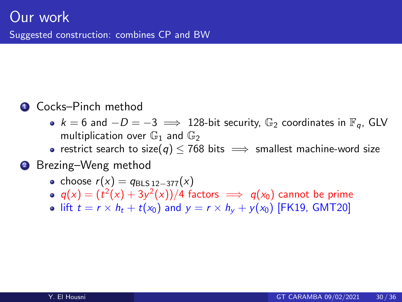#### **4** Cocks–Pinch method

- $k = 6$  and  $-D = -3 \implies 128$ -bit security,  $\mathbb{G}_2$  coordinates in  $\mathbb{F}_q$ , GLV multiplication over  $\mathbb{G}_1$  and  $\mathbb{G}_2$
- restrict search to size(q)  $\leq$  768 bits  $\implies$  smallest machine-word size

#### **2** Brezing–Weng method

- choose  $r(x) = q_{\text{BI S} 12-377}(x)$
- $\mathit{q}(x) = (t^2(x) + 3y^2(x))/4$  factors  $\implies \mathit{q}(x_0)$  cannot be prime
- lift  $t = r \times h_t + t(x_0)$  and  $y = r \times h_y + y(x_0)$  [\[FK19,](#page-42-1) [GMT20\]](#page-42-2)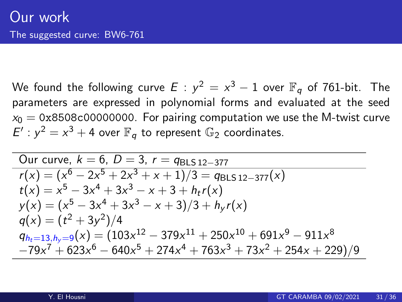We found the following curve  $E$  :  $y^2 = x^3 - 1$  over  $\mathbb{F}_q$  of 761-bit. The parameters are expressed in polynomial forms and evaluated at the seed  $x_0 = 0x8508c00000000$ . For pairing computation we use the M-twist curve  $E^{\prime}: y^2 = x^3 + 4$  over  $\mathbb{F}_q$  to represent  $\mathbb{G}_2$  coordinates.

Our curve, 
$$
k = 6
$$
,  $D = 3$ ,  $r = q_{BLS12-377}$   
\n $r(x) = (x^6 - 2x^5 + 2x^3 + x + 1)/3 = q_{BLS12-377}(x)$   
\n $t(x) = x^5 - 3x^4 + 3x^3 - x + 3 + h_t r(x)$   
\n $y(x) = (x^5 - 3x^4 + 3x^3 - x + 3)/3 + h_y r(x)$   
\n $q(x) = (t^2 + 3y^2)/4$   
\n $q_{h_t=13, h_y=9}(x) = (103x^{12} - 379x^{11} + 250x^{10} + 691x^9 - 911x^8$   
\n $-79x^7 + 623x^6 - 640x^5 + 274x^4 + 763x^3 + 73x^2 + 254x + 229)/9$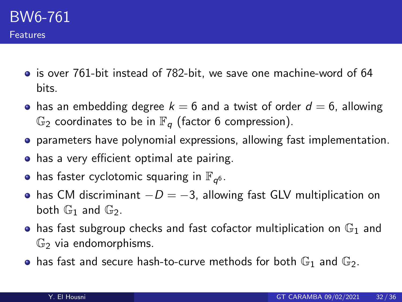- is over 761-bit instead of 782-bit, we save one machine-word of 64 bits.
- has an embedding degree  $k = 6$  and a twist of order  $d = 6$ , allowing  $\mathbb{G}_2$  coordinates to be in  $\mathbb{F}_q$  (factor 6 compression).
- parameters have polynomial expressions, allowing fast implementation.
- **•** has a very efficient optimal ate pairing.
- has faster cyclotomic squaring in  $\mathbb{F}_{q^6}.$
- has CM discriminant  $-D = -3$ , allowing fast GLV multiplication on both  $\mathbb{G}_1$  and  $\mathbb{G}_2$ .
- has fast subgroup checks and fast cofactor multiplication on  $\mathbb{G}_1$  and  $\mathbb{G}_2$  via endomorphisms.
- has fast and secure hash-to-curve methods for both  $\mathbb{G}_1$  and  $\mathbb{G}_2$ .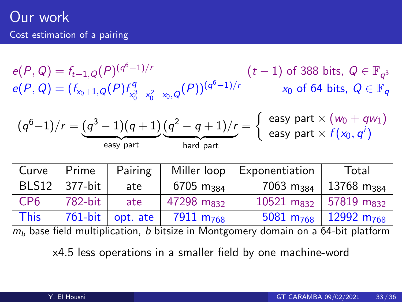## <span id="page-36-0"></span>Our work Cost estimation of a pairing

 $e(P,Q) = f_{t-1,Q}(P)^{(q^6-1)/r}$  (t − 1) of 388 bits,  $Q \in \mathbb{F}_{q^3}$  $e(P,Q) = (f_{x_0+1,Q}(P) f_{x_0}^q)$  $\begin{array}{lll} \displaystyle \frac{xq}{x_0^3-x_0^2-x_0,Q}(P))^{(q^6-1)/r} & \quad & x_0 \text{ of 64 bits},\ Q \in \mathbb{F}_q \end{array}$ 

$$
(q^6-1)/r = (q^3-1)(q+1)(q^2-q+1)/r = \begin{cases} \text{ easy part} \times (w_0 + qw_1) \\ \text{easy part} \times f(x_0, q^i) \end{cases}
$$

| Prime     | Pairing | Miller loop             | Exponentiation         | Total                                                                                 |  |
|-----------|---------|-------------------------|------------------------|---------------------------------------------------------------------------------------|--|
| - 377-bit | ate     | $6705$ m <sub>384</sub> |                        | $13768$ m <sub>384</sub>                                                              |  |
| 782-bit   | ate     |                         |                        |                                                                                       |  |
|           |         | 7911 m <sub>768</sub>   | 5081 $m_{768}$         | $12992$ m <sub>768</sub>                                                              |  |
|           |         | $761$ -bit   opt. ate   | 47298 m <sub>832</sub> | $7063$ m <sub>384</sub> '<br>10521 m <sub>832</sub> 57819 m <sub>832</sub><br>------- |  |

 $m_b$  base field multiplication, b bitsize in Montgomery domain on a 64-bit platform

x4.5 less operations in a smaller field by one machine-word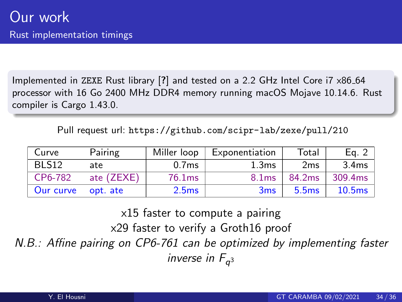<span id="page-37-0"></span>Implemented in ZEXE Rust library [?] and tested on a 2.2 GHz Intel Core i7 x86 64 processor with 16 Go 2400 MHz DDR4 memory running macOS Mojave 10.14.6. Rust compiler is Cargo 1.43.0.

Pull request url: <https://github.com/scipr-lab/zexe/pull/210>

| Curve             | Pairing    | Miller loop       | Exponentiation    | Total  | Eq. $2$            |
|-------------------|------------|-------------------|-------------------|--------|--------------------|
| BLS <sub>12</sub> | ate        | 0.7 <sub>ms</sub> | 1.3ms             | 2ms    | 3.4 <sub>ms</sub>  |
| CP6-782           | ate (ZEXE) | 76.1ms            | 8.1 <sub>ms</sub> | 84.2ms | 309.4ms            |
| Our curve         | opt. ate   | 2.5 <sub>ms</sub> | 3ms               | 5.5ms  | 10.5 <sub>ms</sub> |

x15 faster to compute a pairing

x29 faster to verify a Groth16 proof

N.B.: Affine pairing on CP6-761 can be optimized by implementing faster inverse in  $F_{q^3}$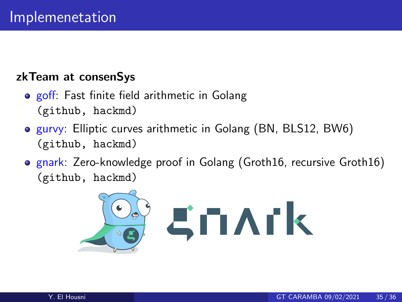#### zkTeam at consenSys

- **o** goff: Fast finite field arithmetic in Golang [\(github,](https://github.com/ConsenSys/goff) [hackmd\)](https://hackmd.io/@zkteam/goff)
- **o** gurvy: Elliptic curves arithmetic in Golang (BN, BLS12, BW6) [\(github,](https://github.com/ConsenSys/gurvy) [hackmd\)](https://hackmd.io/@zkteam/eccbench)
- **o** gnark: Zero-knowledge proof in Golang (Groth16, recursive Groth16) [\(github,](https://github.com/ConsenSys/gnark) [hackmd\)](https://hackmd.io/@zkteam/gnark)

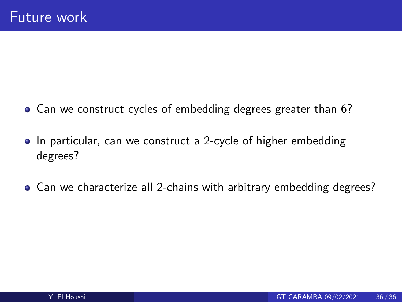- <span id="page-39-0"></span>Can we construct cycles of embedding degrees greater than 6?
- In particular, can we construct a 2-cycle of higher embedding degrees?
- Can we characterize all 2-chains with arbitrary embedding degrees?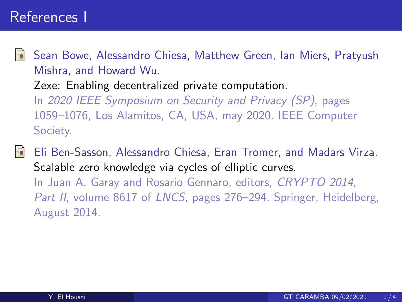<span id="page-40-1"></span>

Sean Bowe, Alessandro Chiesa, Matthew Green, Ian Miers, Pratyush Mishra, and Howard Wu.

Zexe: Enabling decentralized private computation.

In 2020 IEEE Symposium on Security and Privacy (SP), pages 1059–1076, Los Alamitos, CA, USA, may 2020. IEEE Computer Society.

<span id="page-40-0"></span>Eli Ben-Sasson, Alessandro Chiesa, Eran Tromer, and Madars Virza. Scalable zero knowledge via cycles of elliptic curves.

In Juan A. Garay and Rosario Gennaro, editors, CRYPTO 2014, Part II, volume 8617 of LNCS, pages 276–294. Springer, Heidelberg, August 2014.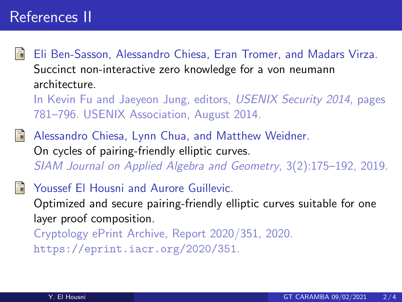## References II

<span id="page-41-0"></span>

Eli Ben-Sasson, Alessandro Chiesa, Eran Tromer, and Madars Virza. Succinct non-interactive zero knowledge for a von neumann architecture.

In Kevin Fu and Jaeyeon Jung, editors, USENIX Security 2014, pages 781–796. USENIX Association, August 2014.

<span id="page-41-2"></span>Alessandro Chiesa, Lynn Chua, and Matthew Weidner. On cycles of pairing-friendly elliptic curves. SIAM Journal on Applied Algebra and Geometry, 3(2):175–192, 2019.

<span id="page-41-1"></span>Youssef El Housni and Aurore Guillevic. Optimized and secure pairing-friendly elliptic curves suitable for one layer proof composition. Cryptology ePrint Archive, Report 2020/351, 2020. <https://eprint.iacr.org/2020/351>.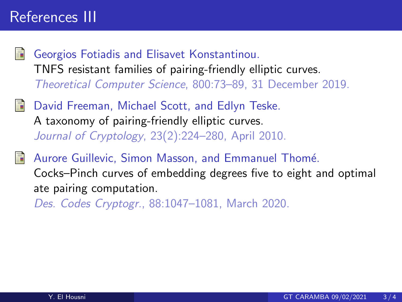## References III

- <span id="page-42-1"></span>Georgios Fotiadis and Elisavet Konstantinou. TNFS resistant families of pairing-friendly elliptic curves. Theoretical Computer Science, 800:73–89, 31 December 2019.
- <span id="page-42-0"></span>David Freeman, Michael Scott, and Edlyn Teske. A taxonomy of pairing-friendly elliptic curves. Journal of Cryptology, 23(2):224–280, April 2010.
- <span id="page-42-2"></span>Aurore Guillevic, Simon Masson, and Emmanuel Thomé. Cocks–Pinch curves of embedding degrees five to eight and optimal ate pairing computation.

Des. Codes Cryptogr., 88:1047–1081, March 2020.